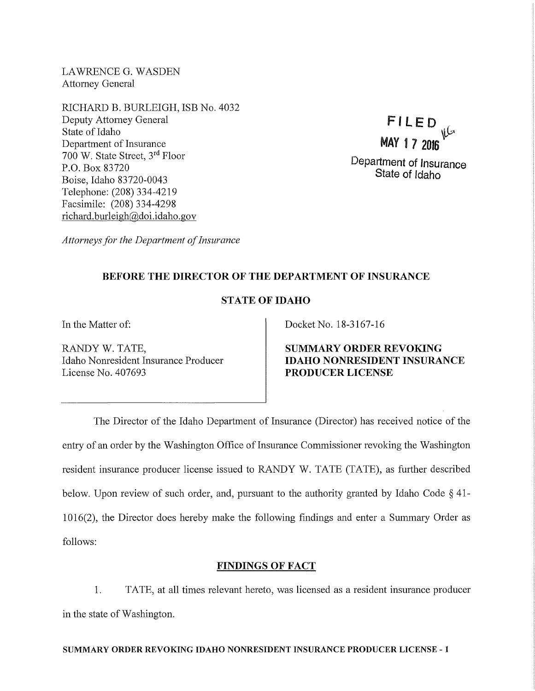LAWRENCE G. WASDEN Attorney General

RICHARD B. BURLEIGH, ISB No. 4032 Deputy Attorney General State of Idaho Department of Insurance 700 W. State Street, 3rd Floor P.O. Box 83720 Boise, Idaho 83720-0043 Telephone: (208) 334-4219 Facsimile: (208) 334-4298 richard. burleigh@doi.idaho.gov



*Attorneys for the Department of Insurance* 

## BEFORE THE DIRECTOR OF THE DEPARTMENT OF INSURANCE

# STATE OF IDAHO

RANDY W. TATE, Idaho Nonresident Insurance Producer License No. 407693

In the Matter of: Docket No. 18-3167-16

SUMMARY ORDER REVOKING IDAHO NONRESIDENT INSURANCE PRODUCER LICENSE

The Director of the Idaho Department of Insurance (Director) has received notice of the entry of an order by the Washington Office of Insurance Commissioner revoking the Washington resident insurance producer license issued to RANDY W. TATE (TATE), as further described below. Upon review of such order, and, pursuant to the authority granted by Idaho Code § 41- 1016(2), the Director does hereby make the following findings and enter a Summary Order as follows:

### FINDINGS OF FACT

1. TATE, at all times relevant hereto, was licensed as a resident insurance producer in the state of Washington.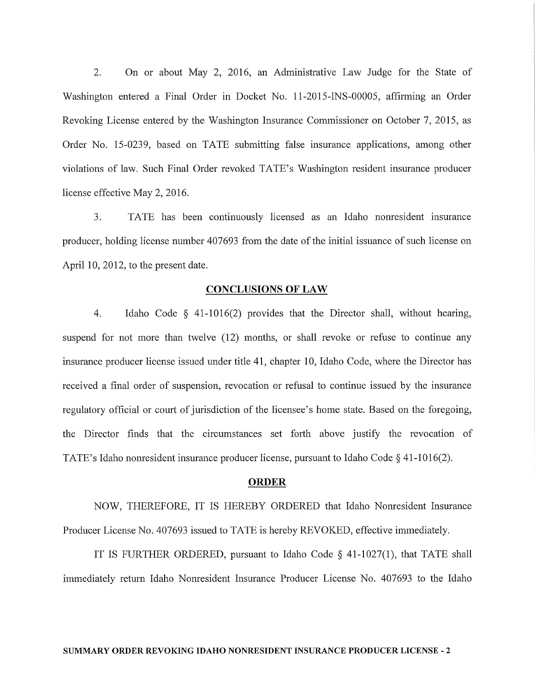2. On or about May 2, 2016, an Administrative Law Judge for the State of Washington entered a Final Order in Docket No. 11-2015-INS-00005, affirming an Order Revoking License entered by the Washington Insurance Commissioner on October 7, 2015, as Order No. 15-0239, based on TATE submitting false insurance applications, among other violations of law. Such Final Order revoked TATE's Washington resident insurance producer license effective May 2, 2016.

3. TATE has been continuously licensed as an Idaho nonresident insurance producer, holding license number 407693 from the date of the initial issuance of such license on April 10, 2012, to the present date.

#### CONCLUSIONS OF LAW

4. Idaho Code § 41-1016(2) provides that the Director shall, without hearing, suspend for not more than twelve (12) months, or shall revoke or refuse to continue any insurance producer license issued under title 41, chapter 10, Idaho Code, where the Director has received a final order of suspension, revocation or refusal to continue issued by the insurance regulatory official or court of jurisdiction of the licensee's home state. Based on the foregoing, the Director finds that the circumstances set forth above justify the revocation of TATE's Idaho nonresident insurance producer license, pursuant to Idaho Code§ 41-1016(2).

#### **ORDER**

NOW, THEREFORE, IT IS HEREBY ORDERED that Idaho Nonresident Insurance Producer License No. 407693 issued to TATE is hereby REVOKED, effective immediately.

IT IS FURTHER ORDERED, pursuant to Idaho Code § 41-1027(1), that TATE shall immediately return Idaho Nonresident Insurance Producer License No. 407693 to the Idaho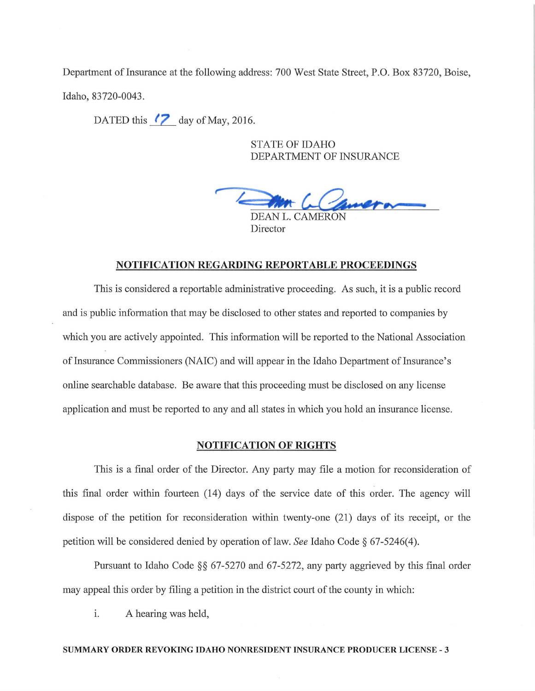Department of Insurance at the following address: 700 West State Street, P.O. Box 83720, Boise, Idaho, 83720-0043.

DATED this *!?\_ day of May, 2016.* 

STATE OF IDAHO DEPARTMENT OF INSURANCE

DEAN L. CAMERON

Director

#### NOTIFICATION REGARDING REPORTABLE PROCEEDINGS

This is considered a reportable administrative proceeding. As such, it is a public record and is public information that may be disclosed to other states and reported to companies by which you are actively appointed. This information will be reported to the National Association of Insurance Commissioners (NAIC) and will appear in the Idaho Department of Insurance's online searchable database. Be aware that this proceeding must be disclosed on any license application and must be reported to any and all states in which you hold an insurance license.

### NOTIFICATION OF RIGHTS

This is a final order of the Director. Any party may file a motion for reconsideration of this final order within fourteen (14) days of the service date of this order. The agency will dispose of the petition for reconsideration within twenty-one (21) days of its receipt, or the petition will be considered denied by operation of law. *See* Idaho Code § 67-5246( 4 ).

Pursuant to Idaho Code §§ 67-5270 and 67-5272, any party aggrieved by this final order may appeal this order by filing a petition in the district court of the county in which:

i. A hearing was held,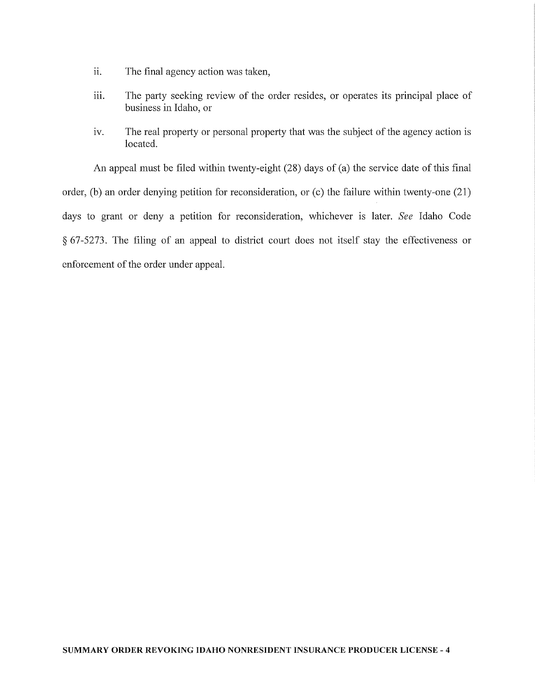- ii. The final agency action was taken,
- iii. The party seeking review of the order resides, or operates its principal place of business in Idaho, or
- iv. The real property or personal property that was the subject of the agency action is located.

An appeal must be filed within twenty-eight (28) days of (a) the service date of this final order, (b) an order denying petition for reconsideration, or (c) the failure within twenty-one  $(21)$ days to grant or deny a petition for reconsideration, whichever is later. *See* Idaho Code  $§$  67-5273. The filing of an appeal to district court does not itself stay the effectiveness or enforcement of the order under appeal.